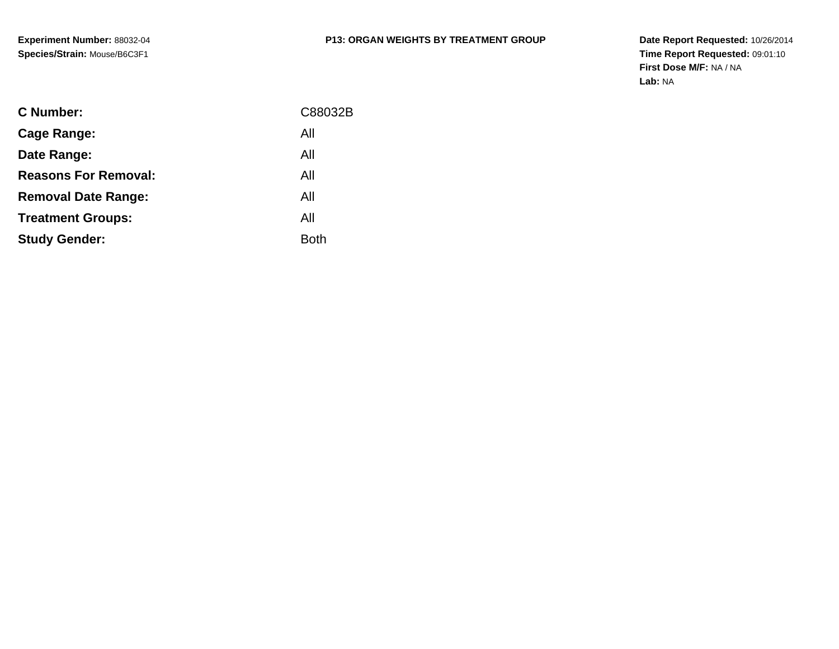| <b>C</b> Number:            | C88032B     |
|-----------------------------|-------------|
| Cage Range:                 | All         |
| Date Range:                 | All         |
| <b>Reasons For Removal:</b> | All         |
| <b>Removal Date Range:</b>  | All         |
| <b>Treatment Groups:</b>    | All         |
| <b>Study Gender:</b>        | <b>Both</b> |
|                             |             |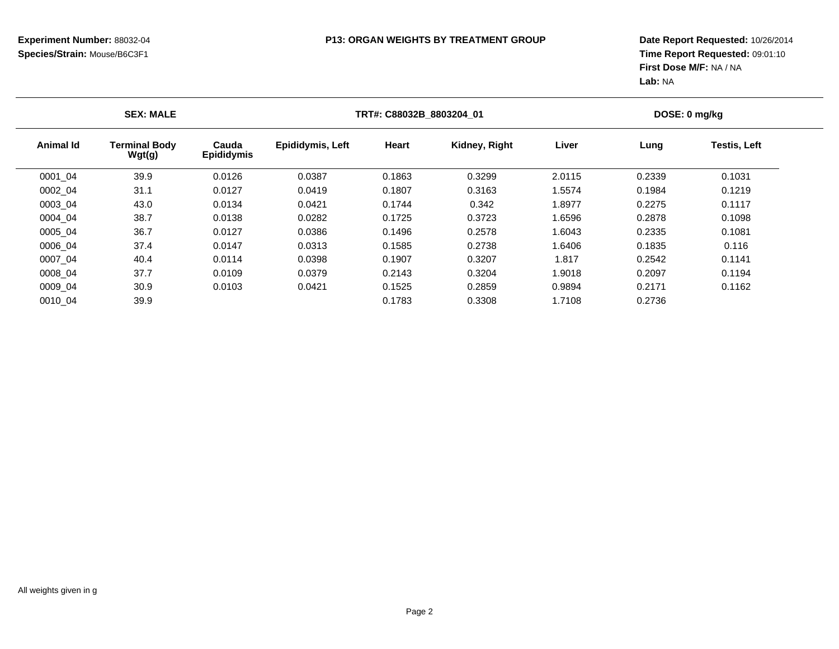| <b>SEX: MALE</b> |                                |                            | TRT#: C88032B 8803204 01 |        |               |        | DOSE: 0 mg/kg |                     |  |
|------------------|--------------------------------|----------------------------|--------------------------|--------|---------------|--------|---------------|---------------------|--|
| <b>Animal Id</b> | <b>Terminal Body</b><br>Wgt(g) | Cauda<br><b>Epididymis</b> | <b>Epididymis, Left</b>  | Heart  | Kidney, Right | Liver  | Lung          | <b>Testis, Left</b> |  |
| 0001_04          | 39.9                           | 0.0126                     | 0.0387                   | 0.1863 | 0.3299        | 2.0115 | 0.2339        | 0.1031              |  |
| 0002 04          | 31.1                           | 0.0127                     | 0.0419                   | 0.1807 | 0.3163        | 1.5574 | 0.1984        | 0.1219              |  |
| 0003 04          | 43.0                           | 0.0134                     | 0.0421                   | 0.1744 | 0.342         | 1.8977 | 0.2275        | 0.1117              |  |
| 0004 04          | 38.7                           | 0.0138                     | 0.0282                   | 0.1725 | 0.3723        | 1.6596 | 0.2878        | 0.1098              |  |
| 0005 04          | 36.7                           | 0.0127                     | 0.0386                   | 0.1496 | 0.2578        | 1.6043 | 0.2335        | 0.1081              |  |
| 0006 04          | 37.4                           | 0.0147                     | 0.0313                   | 0.1585 | 0.2738        | 1.6406 | 0.1835        | 0.116               |  |
| 0007 04          | 40.4                           | 0.0114                     | 0.0398                   | 0.1907 | 0.3207        | 1.817  | 0.2542        | 0.1141              |  |
| 0008 04          | 37.7                           | 0.0109                     | 0.0379                   | 0.2143 | 0.3204        | 1.9018 | 0.2097        | 0.1194              |  |
| 0009 04          | 30.9                           | 0.0103                     | 0.0421                   | 0.1525 | 0.2859        | 0.9894 | 0.2171        | 0.1162              |  |
| 0010 04          | 39.9                           |                            |                          | 0.1783 | 0.3308        | 1.7108 | 0.2736        |                     |  |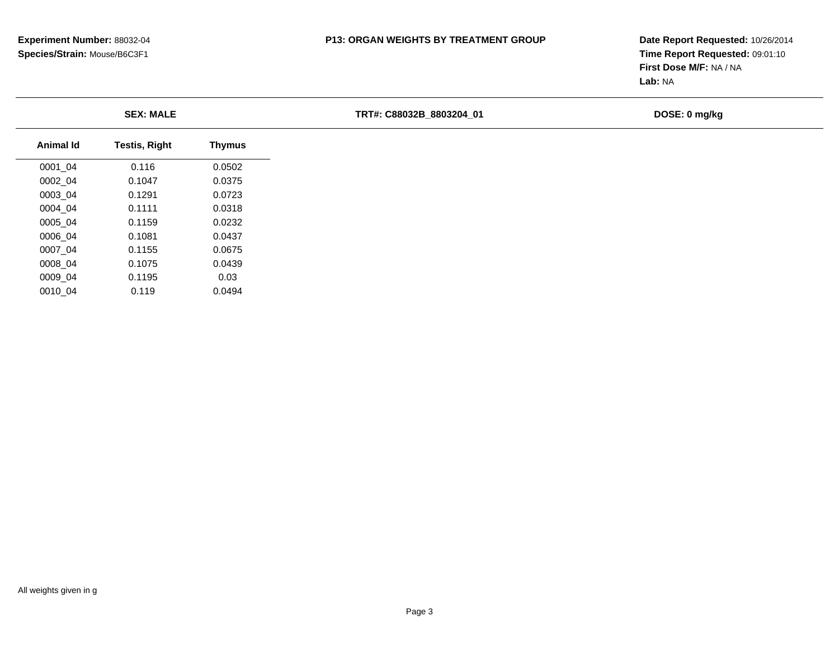**Date Report Requested:** 10/26/2014 **Time Report Requested:** 09:01:10**First Dose M/F:** NA / NA**Lab:** NA

**TRT#: C88032B\_8803204\_01 DOSE: 0 mg/kg**

| Animal Id | <b>Testis, Right</b> | <b>Thymus</b> |
|-----------|----------------------|---------------|
| 0001 04   | 0.116                | 0.0502        |
| 0002 04   | 0.1047               | 0.0375        |
| 0003 04   | 0.1291               | 0.0723        |
| 0004 04   | 0.1111               | 0.0318        |
| 0005 04   | 0.1159               | 0.0232        |
| 0006 04   | 0.1081               | 0.0437        |
| 0007 04   | 0.1155               | 0.0675        |
| 0008 04   | 0.1075               | 0.0439        |
| 0009 04   | 0.1195               | 0.03          |
| 0010 04   | 0.119                | 0.0494        |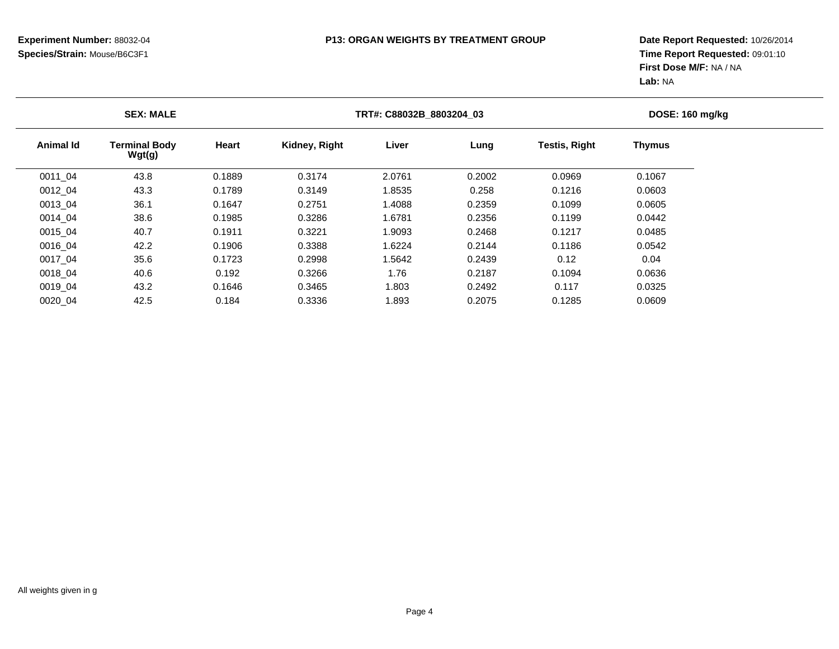| <b>SEX: MALE</b> |                  |                                | TRT#: C88032B 8803204 03 | DOSE: 160 mg/kg |        |        |                      |               |  |
|------------------|------------------|--------------------------------|--------------------------|-----------------|--------|--------|----------------------|---------------|--|
|                  | <b>Animal Id</b> | <b>Terminal Body</b><br>Wgt(g) | <b>Heart</b>             | Kidney, Right   | Liver  | Lung   | <b>Testis, Right</b> | <b>Thymus</b> |  |
|                  | 0011 04          | 43.8                           | 0.1889                   | 0.3174          | 2.0761 | 0.2002 | 0.0969               | 0.1067        |  |
|                  | 0012 04          | 43.3                           | 0.1789                   | 0.3149          | 1.8535 | 0.258  | 0.1216               | 0.0603        |  |
|                  | 0013 04          | 36.1                           | 0.1647                   | 0.2751          | 1.4088 | 0.2359 | 0.1099               | 0.0605        |  |
|                  | 0014 04          | 38.6                           | 0.1985                   | 0.3286          | 1.6781 | 0.2356 | 0.1199               | 0.0442        |  |
|                  | 0015 04          | 40.7                           | 0.1911                   | 0.3221          | 1.9093 | 0.2468 | 0.1217               | 0.0485        |  |
|                  | 0016 04          | 42.2                           | 0.1906                   | 0.3388          | 1.6224 | 0.2144 | 0.1186               | 0.0542        |  |
|                  | 0017 04          | 35.6                           | 0.1723                   | 0.2998          | 1.5642 | 0.2439 | 0.12                 | 0.04          |  |
|                  | 0018 04          | 40.6                           | 0.192                    | 0.3266          | 1.76   | 0.2187 | 0.1094               | 0.0636        |  |
|                  | 0019 04          | 43.2                           | 0.1646                   | 0.3465          | 1.803  | 0.2492 | 0.117                | 0.0325        |  |
|                  | 0020 04          | 42.5                           | 0.184                    | 0.3336          | 1.893  | 0.2075 | 0.1285               | 0.0609        |  |
|                  |                  |                                |                          |                 |        |        |                      |               |  |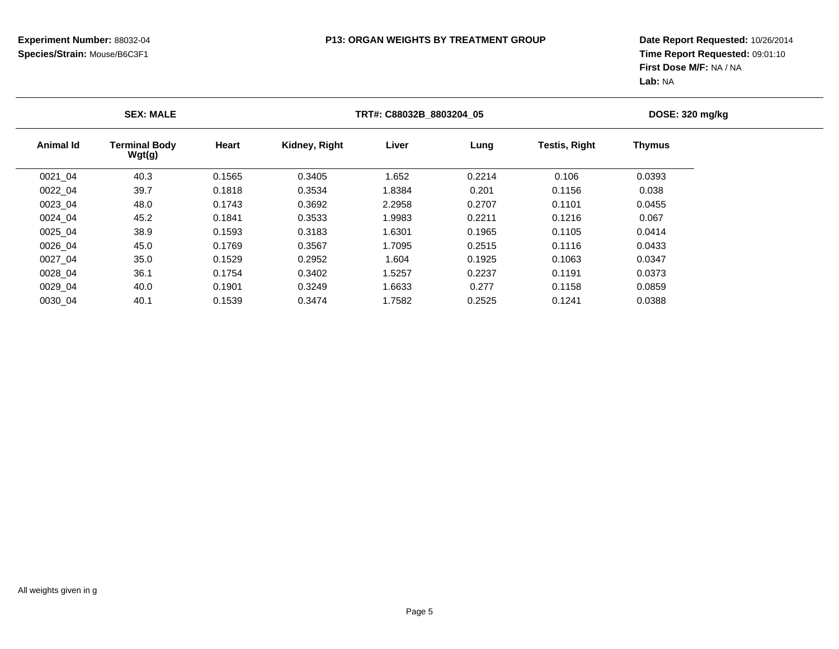| <b>SEX: MALE</b> |                                |        | TRT#: C88032B 8803204 05 | DOSE: 320 mg/kg |        |                      |               |  |
|------------------|--------------------------------|--------|--------------------------|-----------------|--------|----------------------|---------------|--|
| Animal Id        | <b>Terminal Body</b><br>Wgt(g) | Heart  | Kidney, Right            | Liver           | Lung   | <b>Testis, Right</b> | <b>Thymus</b> |  |
| 0021_04          | 40.3                           | 0.1565 | 0.3405                   | 1.652           | 0.2214 | 0.106                | 0.0393        |  |
| 0022 04          | 39.7                           | 0.1818 | 0.3534                   | 1.8384          | 0.201  | 0.1156               | 0.038         |  |
| 0023 04          | 48.0                           | 0.1743 | 0.3692                   | 2.2958          | 0.2707 | 0.1101               | 0.0455        |  |
| 0024 04          | 45.2                           | 0.1841 | 0.3533                   | 1.9983          | 0.2211 | 0.1216               | 0.067         |  |
| 0025 04          | 38.9                           | 0.1593 | 0.3183                   | 1.6301          | 0.1965 | 0.1105               | 0.0414        |  |
| 0026 04          | 45.0                           | 0.1769 | 0.3567                   | 1.7095          | 0.2515 | 0.1116               | 0.0433        |  |
| 0027 04          | 35.0                           | 0.1529 | 0.2952                   | 1.604           | 0.1925 | 0.1063               | 0.0347        |  |
| 0028 04          | 36.1                           | 0.1754 | 0.3402                   | 1.5257          | 0.2237 | 0.1191               | 0.0373        |  |
| 0029 04          | 40.0                           | 0.1901 | 0.3249                   | 1.6633          | 0.277  | 0.1158               | 0.0859        |  |
| 0030 04          | 40.1                           | 0.1539 | 0.3474                   | 1.7582          | 0.2525 | 0.1241               | 0.0388        |  |
|                  |                                |        |                          |                 |        |                      |               |  |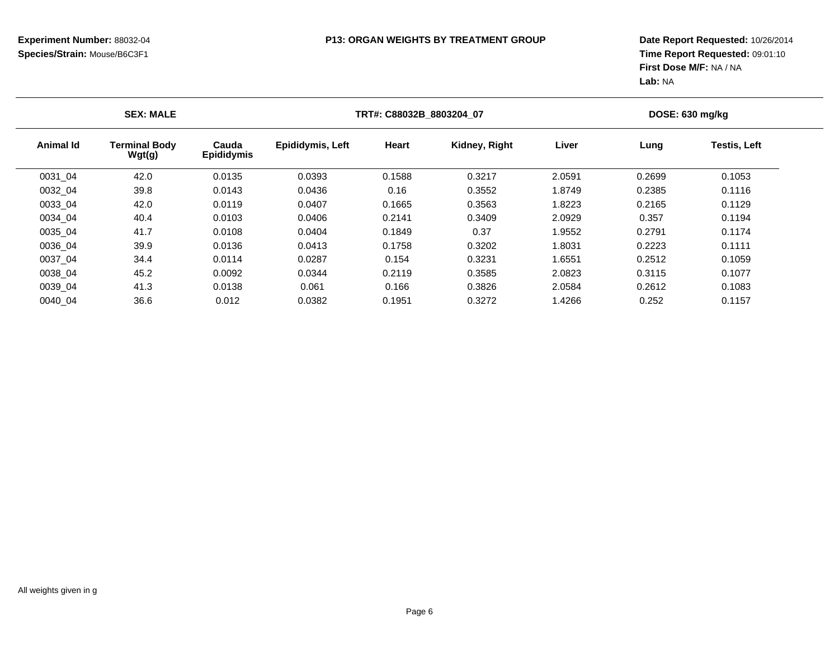| <b>SEX: MALE</b> |                                |                            | TRT#: C88032B 8803204 07 |        |               |        | DOSE: 630 mg/kg |                     |  |
|------------------|--------------------------------|----------------------------|--------------------------|--------|---------------|--------|-----------------|---------------------|--|
| <b>Animal Id</b> | <b>Terminal Body</b><br>Wgt(g) | Cauda<br><b>Epididymis</b> | <b>Epididymis, Left</b>  | Heart  | Kidney, Right | Liver  | Lung            | <b>Testis, Left</b> |  |
| 0031_04          | 42.0                           | 0.0135                     | 0.0393                   | 0.1588 | 0.3217        | 2.0591 | 0.2699          | 0.1053              |  |
| 0032 04          | 39.8                           | 0.0143                     | 0.0436                   | 0.16   | 0.3552        | 1.8749 | 0.2385          | 0.1116              |  |
| 0033 04          | 42.0                           | 0.0119                     | 0.0407                   | 0.1665 | 0.3563        | 1.8223 | 0.2165          | 0.1129              |  |
| 0034 04          | 40.4                           | 0.0103                     | 0.0406                   | 0.2141 | 0.3409        | 2.0929 | 0.357           | 0.1194              |  |
| 0035_04          | 41.7                           | 0.0108                     | 0.0404                   | 0.1849 | 0.37          | 1.9552 | 0.2791          | 0.1174              |  |
| 0036 04          | 39.9                           | 0.0136                     | 0.0413                   | 0.1758 | 0.3202        | 1.8031 | 0.2223          | 0.1111              |  |
| 0037 04          | 34.4                           | 0.0114                     | 0.0287                   | 0.154  | 0.3231        | 1.6551 | 0.2512          | 0.1059              |  |
| 0038 04          | 45.2                           | 0.0092                     | 0.0344                   | 0.2119 | 0.3585        | 2.0823 | 0.3115          | 0.1077              |  |
| 0039 04          | 41.3                           | 0.0138                     | 0.061                    | 0.166  | 0.3826        | 2.0584 | 0.2612          | 0.1083              |  |
| 0040 04          | 36.6                           | 0.012                      | 0.0382                   | 0.1951 | 0.3272        | 1.4266 | 0.252           | 0.1157              |  |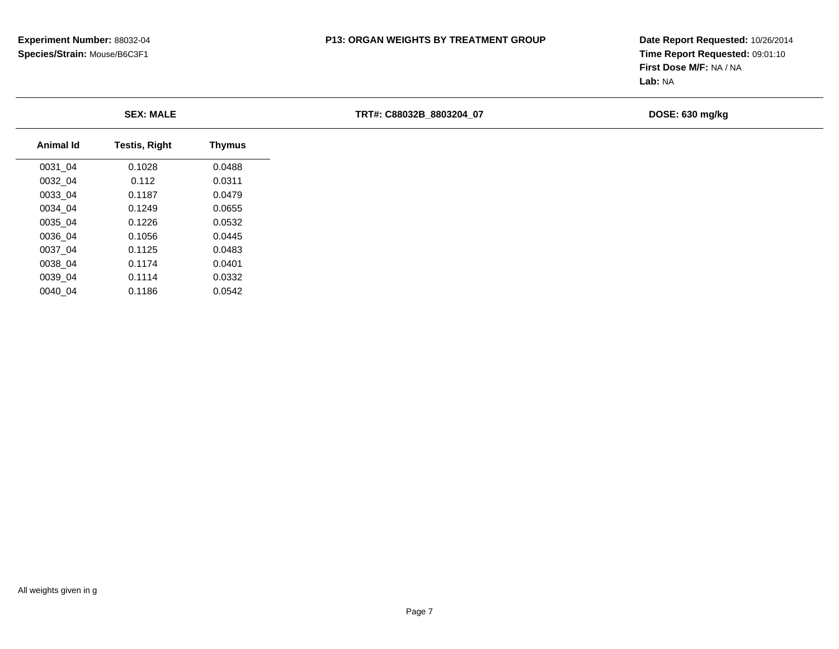**Date Report Requested:** 10/26/2014 **Time Report Requested:** 09:01:10**First Dose M/F:** NA / NA**Lab:** NA

**TRT#: C88032B\_8803204\_07 DOSE: 630 mg/kg**

| Animal Id | Testis, Right | <b>Thymus</b> |  |
|-----------|---------------|---------------|--|
| 0031 04   | 0.1028        | 0.0488        |  |
| 0032 04   | 0.112         | 0.0311        |  |
| 0033 04   | 0.1187        | 0.0479        |  |
| 0034 04   | 0.1249        | 0.0655        |  |
| 0035 04   | 0.1226        | 0.0532        |  |
| 0036 04   | 0.1056        | 0.0445        |  |
| 0037 04   | 0.1125        | 0.0483        |  |
| 0038 04   | 0.1174        | 0.0401        |  |
| 0039 04   | 0.1114        | 0.0332        |  |
| 0040 04   | 0.1186        | 0.0542        |  |
|           |               |               |  |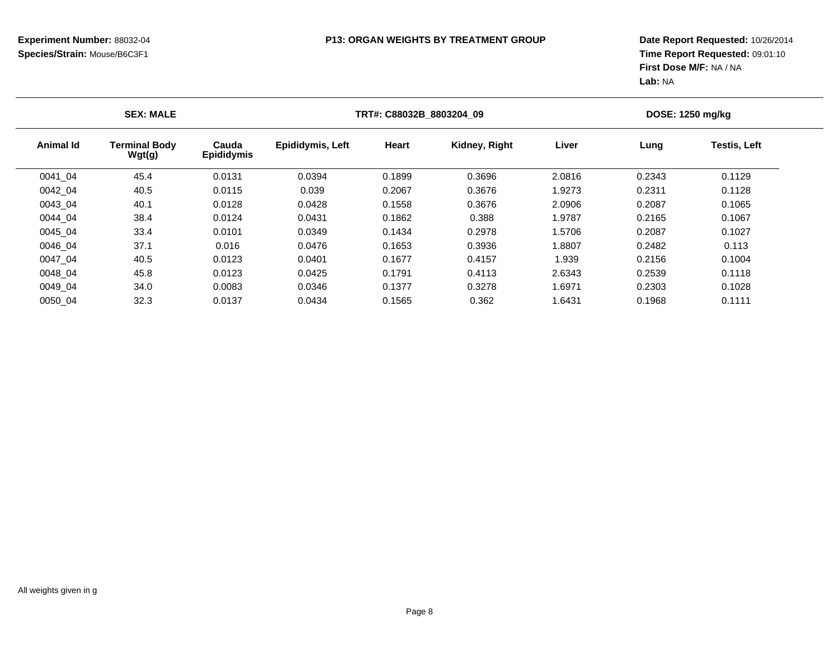| <b>SEX: MALE</b> |                                |                            | TRT#: C88032B 8803204 09 |        |               |        | DOSE: 1250 mg/kg |                     |  |
|------------------|--------------------------------|----------------------------|--------------------------|--------|---------------|--------|------------------|---------------------|--|
| Animal Id        | <b>Terminal Body</b><br>Wgt(g) | Cauda<br><b>Epididymis</b> | <b>Epididymis, Left</b>  | Heart  | Kidney, Right | Liver  | Lung             | <b>Testis, Left</b> |  |
| 0041 04          | 45.4                           | 0.0131                     | 0.0394                   | 0.1899 | 0.3696        | 2.0816 | 0.2343           | 0.1129              |  |
| 0042 04          | 40.5                           | 0.0115                     | 0.039                    | 0.2067 | 0.3676        | 1.9273 | 0.2311           | 0.1128              |  |
| 0043 04          | 40.1                           | 0.0128                     | 0.0428                   | 0.1558 | 0.3676        | 2.0906 | 0.2087           | 0.1065              |  |
| 0044 04          | 38.4                           | 0.0124                     | 0.0431                   | 0.1862 | 0.388         | 1.9787 | 0.2165           | 0.1067              |  |
| 0045 04          | 33.4                           | 0.0101                     | 0.0349                   | 0.1434 | 0.2978        | 1.5706 | 0.2087           | 0.1027              |  |
| 0046 04          | 37.1                           | 0.016                      | 0.0476                   | 0.1653 | 0.3936        | 1.8807 | 0.2482           | 0.113               |  |
| 0047 04          | 40.5                           | 0.0123                     | 0.0401                   | 0.1677 | 0.4157        | 1.939  | 0.2156           | 0.1004              |  |
| 0048 04          | 45.8                           | 0.0123                     | 0.0425                   | 0.1791 | 0.4113        | 2.6343 | 0.2539           | 0.1118              |  |
| 0049 04          | 34.0                           | 0.0083                     | 0.0346                   | 0.1377 | 0.3278        | 1.6971 | 0.2303           | 0.1028              |  |
| 0050_04          | 32.3                           | 0.0137                     | 0.0434                   | 0.1565 | 0.362         | 1.6431 | 0.1968           | 0.1111              |  |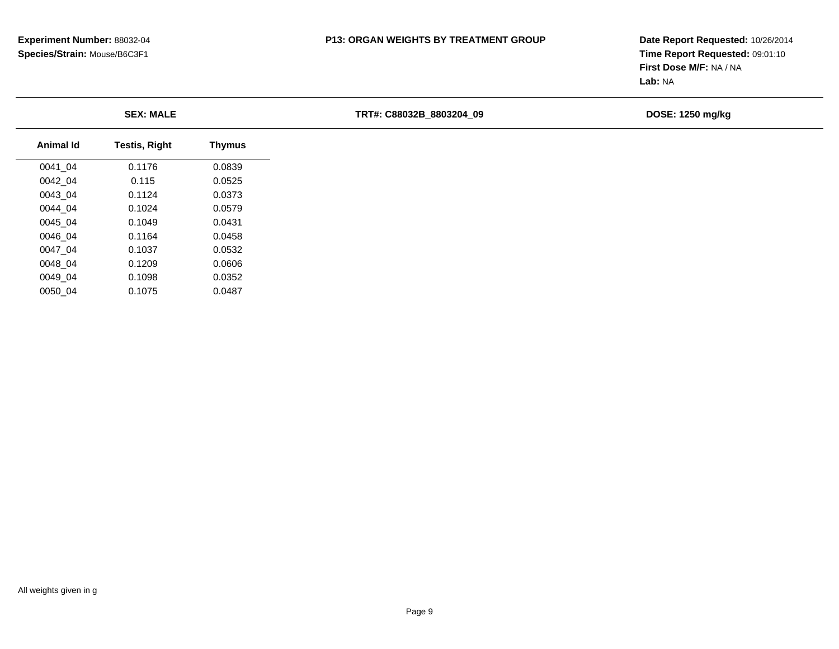**Date Report Requested:** 10/26/2014 **Time Report Requested:** 09:01:10**First Dose M/F:** NA / NA**Lab:** NA

**TRT#: C88032B\_8803204\_09 DOSE: 1250 mg/kg**

| Animal Id | <b>Testis, Right</b> | <b>Thymus</b> |  |
|-----------|----------------------|---------------|--|
| 0041 04   | 0.1176               | 0.0839        |  |
| 0042 04   | 0.115                | 0.0525        |  |
| 0043_04   | 0.1124               | 0.0373        |  |
| 0044 04   | 0.1024               | 0.0579        |  |
| 0045 04   | 0.1049               | 0.0431        |  |
| 0046 04   | 0.1164               | 0.0458        |  |
| 0047 04   | 0.1037               | 0.0532        |  |
| 0048 04   | 0.1209               | 0.0606        |  |
| 0049 04   | 0.1098               | 0.0352        |  |
| 0050 04   | 0.1075               | 0.0487        |  |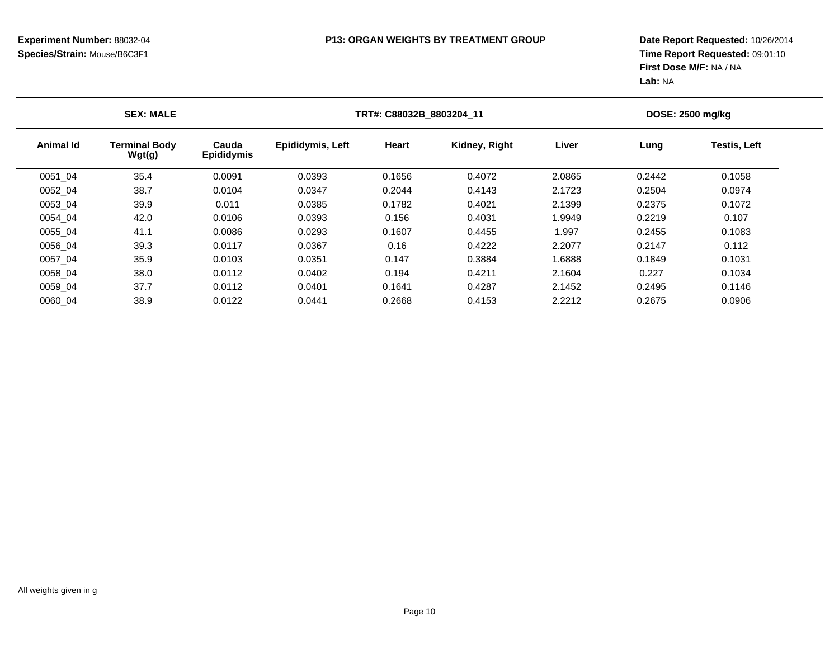| <b>SEX: MALE</b> |                                |                            |                  | TRT#: C88032B 8803204 11 |               |        |        | DOSE: 2500 mg/kg    |  |  |
|------------------|--------------------------------|----------------------------|------------------|--------------------------|---------------|--------|--------|---------------------|--|--|
| <b>Animal Id</b> | <b>Terminal Body</b><br>Wgt(g) | Cauda<br><b>Epididymis</b> | Epididymis, Left | Heart                    | Kidney, Right | Liver  | Lung   | <b>Testis, Left</b> |  |  |
| 0051_04          | 35.4                           | 0.0091                     | 0.0393           | 0.1656                   | 0.4072        | 2.0865 | 0.2442 | 0.1058              |  |  |
| 0052 04          | 38.7                           | 0.0104                     | 0.0347           | 0.2044                   | 0.4143        | 2.1723 | 0.2504 | 0.0974              |  |  |
| 0053 04          | 39.9                           | 0.011                      | 0.0385           | 0.1782                   | 0.4021        | 2.1399 | 0.2375 | 0.1072              |  |  |
| 0054 04          | 42.0                           | 0.0106                     | 0.0393           | 0.156                    | 0.4031        | 1.9949 | 0.2219 | 0.107               |  |  |
| 0055 04          | 41.1                           | 0.0086                     | 0.0293           | 0.1607                   | 0.4455        | 1.997  | 0.2455 | 0.1083              |  |  |
| 0056 04          | 39.3                           | 0.0117                     | 0.0367           | 0.16                     | 0.4222        | 2.2077 | 0.2147 | 0.112               |  |  |
| 0057 04          | 35.9                           | 0.0103                     | 0.0351           | 0.147                    | 0.3884        | 1.6888 | 0.1849 | 0.1031              |  |  |
| 0058 04          | 38.0                           | 0.0112                     | 0.0402           | 0.194                    | 0.4211        | 2.1604 | 0.227  | 0.1034              |  |  |
| 0059 04          | 37.7                           | 0.0112                     | 0.0401           | 0.1641                   | 0.4287        | 2.1452 | 0.2495 | 0.1146              |  |  |
| 0060 04          | 38.9                           | 0.0122                     | 0.0441           | 0.2668                   | 0.4153        | 2.2212 | 0.2675 | 0.0906              |  |  |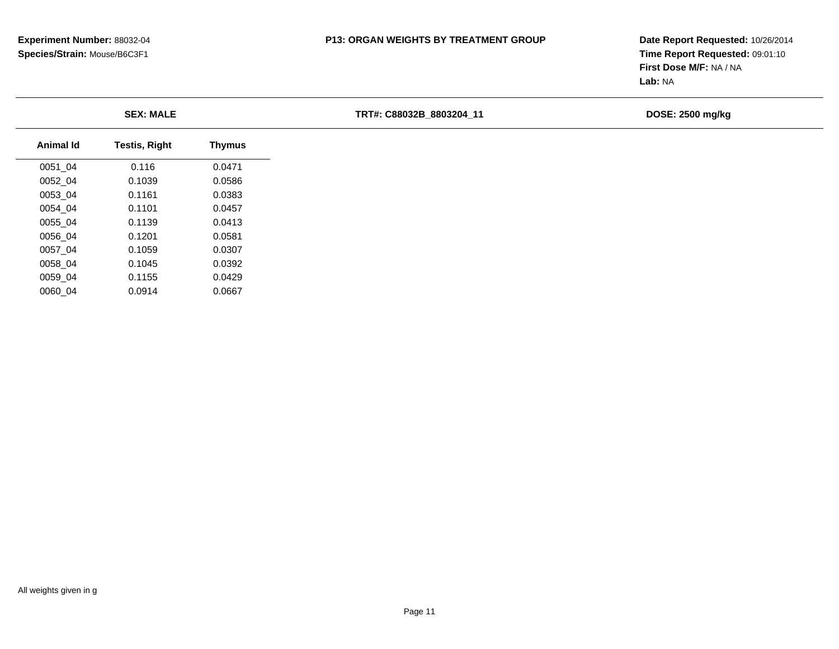**Date Report Requested:** 10/26/2014 **Time Report Requested:** 09:01:10**First Dose M/F:** NA / NA**Lab:** NA

**TRT#: C88032B\_8803204\_11 DOSE: 2500 mg/kg**

| Animal Id | <b>Testis, Right</b> | <b>Thymus</b> |  |
|-----------|----------------------|---------------|--|
| 0051 04   | 0.116                | 0.0471        |  |
| 0052 04   | 0.1039               | 0.0586        |  |
| 0053 04   | 0.1161               | 0.0383        |  |
| 0054 04   | 0.1101               | 0.0457        |  |
| 0055 04   | 0.1139               | 0.0413        |  |
| 0056 04   | 0.1201               | 0.0581        |  |
| 0057 04   | 0.1059               | 0.0307        |  |
| 0058 04   | 0.1045               | 0.0392        |  |
| 0059 04   | 0.1155               | 0.0429        |  |
| 0060 04   | 0.0914               | 0.0667        |  |
|           |                      |               |  |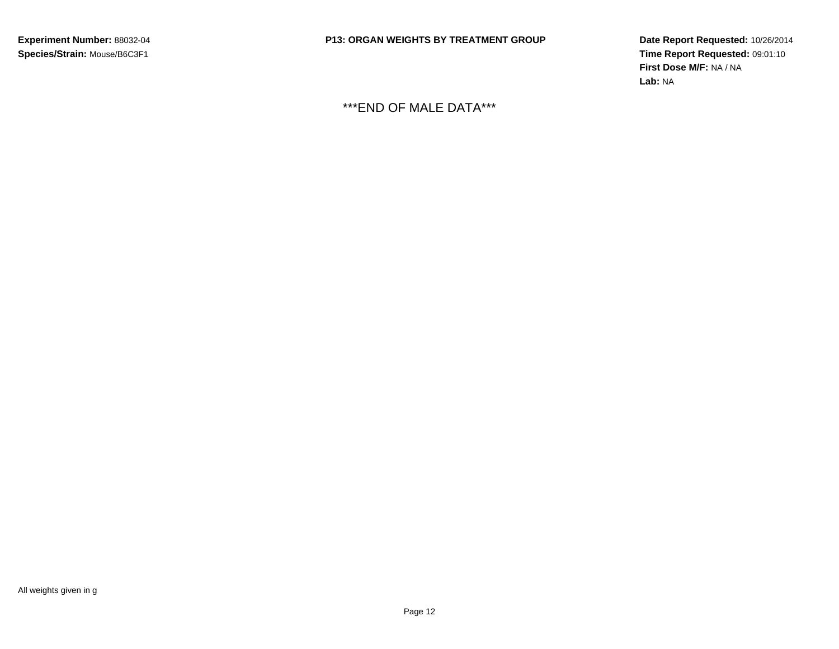**Date Report Requested:** 10/26/2014 **Time Report Requested:** 09:01:10**First Dose M/F:** NA / NA**Lab:** NA

\*\*\*END OF MALE DATA\*\*\*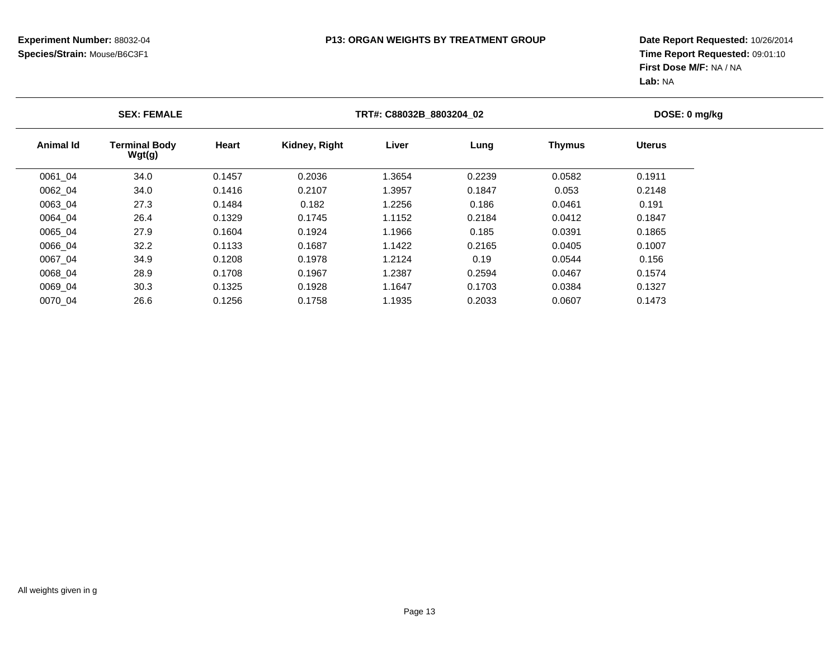|                  | <b>SEX: FEMALE</b>             |        | TRT#: C88032B 8803204 02 | DOSE: 0 mg/kg |        |               |               |  |
|------------------|--------------------------------|--------|--------------------------|---------------|--------|---------------|---------------|--|
| <b>Animal Id</b> | <b>Terminal Body</b><br>Wgt(g) | Heart  | Kidney, Right            | Liver         | Lung   | <b>Thymus</b> | <b>Uterus</b> |  |
| 0061_04          | 34.0                           | 0.1457 | 0.2036                   | 1.3654        | 0.2239 | 0.0582        | 0.1911        |  |
| 0062 04          | 34.0                           | 0.1416 | 0.2107                   | 1.3957        | 0.1847 | 0.053         | 0.2148        |  |
| 0063 04          | 27.3                           | 0.1484 | 0.182                    | 1.2256        | 0.186  | 0.0461        | 0.191         |  |
| 0064 04          | 26.4                           | 0.1329 | 0.1745                   | 1.1152        | 0.2184 | 0.0412        | 0.1847        |  |
| 0065 04          | 27.9                           | 0.1604 | 0.1924                   | 1.1966        | 0.185  | 0.0391        | 0.1865        |  |
| 0066 04          | 32.2                           | 0.1133 | 0.1687                   | 1.1422        | 0.2165 | 0.0405        | 0.1007        |  |
| 0067 04          | 34.9                           | 0.1208 | 0.1978                   | 1.2124        | 0.19   | 0.0544        | 0.156         |  |
| 0068 04          | 28.9                           | 0.1708 | 0.1967                   | 1.2387        | 0.2594 | 0.0467        | 0.1574        |  |
| 0069 04          | 30.3                           | 0.1325 | 0.1928                   | 1.1647        | 0.1703 | 0.0384        | 0.1327        |  |
| 0070 04          | 26.6                           | 0.1256 | 0.1758                   | 1.1935        | 0.2033 | 0.0607        | 0.1473        |  |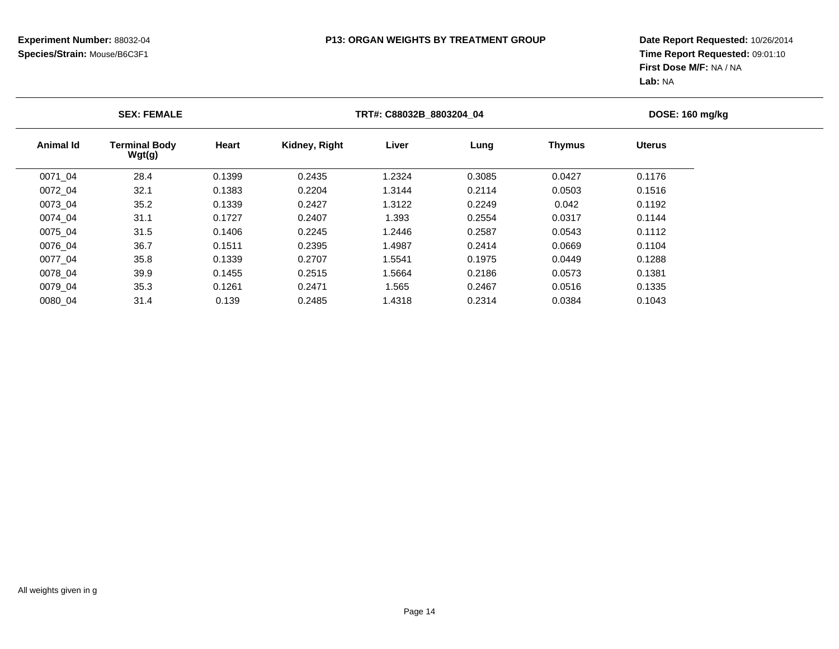|           | <b>SEX: FEMALE</b>             |              | TRT#: C88032B 8803204 04 |        | DOSE: 160 mg/kg |               |               |  |
|-----------|--------------------------------|--------------|--------------------------|--------|-----------------|---------------|---------------|--|
| Animal Id | <b>Terminal Body</b><br>Wgt(g) | <b>Heart</b> | Kidney, Right            | Liver  | Lung            | <b>Thymus</b> | <b>Uterus</b> |  |
| 0071 04   | 28.4                           | 0.1399       | 0.2435                   | 1.2324 | 0.3085          | 0.0427        | 0.1176        |  |
| 0072 04   | 32.1                           | 0.1383       | 0.2204                   | 1.3144 | 0.2114          | 0.0503        | 0.1516        |  |
| 0073 04   | 35.2                           | 0.1339       | 0.2427                   | 1.3122 | 0.2249          | 0.042         | 0.1192        |  |
| 0074 04   | 31.1                           | 0.1727       | 0.2407                   | 1.393  | 0.2554          | 0.0317        | 0.1144        |  |
| 0075 04   | 31.5                           | 0.1406       | 0.2245                   | 1.2446 | 0.2587          | 0.0543        | 0.1112        |  |
| 0076 04   | 36.7                           | 0.1511       | 0.2395                   | 1.4987 | 0.2414          | 0.0669        | 0.1104        |  |
| 0077 04   | 35.8                           | 0.1339       | 0.2707                   | 1.5541 | 0.1975          | 0.0449        | 0.1288        |  |
| 0078 04   | 39.9                           | 0.1455       | 0.2515                   | 1.5664 | 0.2186          | 0.0573        | 0.1381        |  |
| 0079 04   | 35.3                           | 0.1261       | 0.2471                   | 1.565  | 0.2467          | 0.0516        | 0.1335        |  |
| 0080 04   | 31.4                           | 0.139        | 0.2485                   | 1.4318 | 0.2314          | 0.0384        | 0.1043        |  |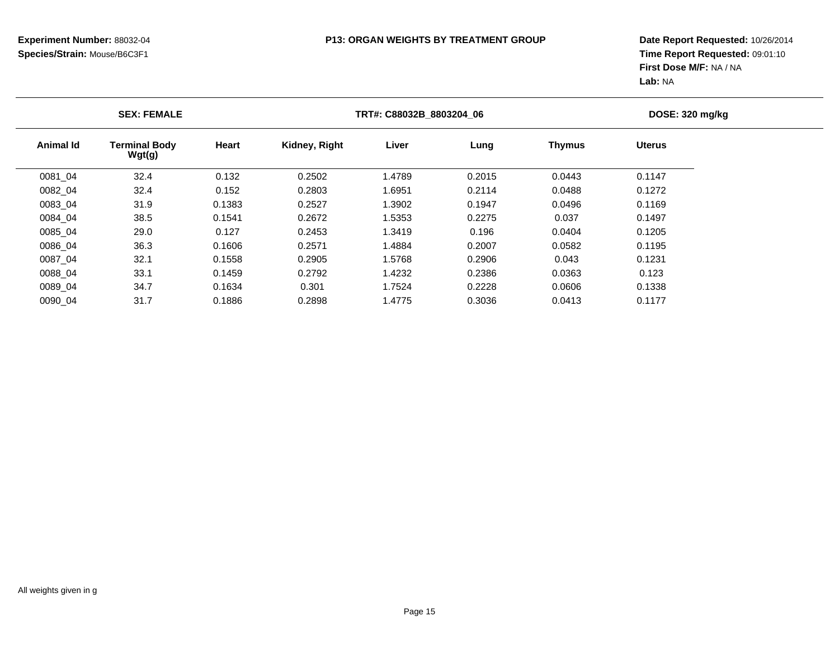|           | <b>SEX: FEMALE</b>             |        | TRT#: C88032B_8803204_06 |        | <b>DOSE: 320 mg/kg</b> |               |               |  |
|-----------|--------------------------------|--------|--------------------------|--------|------------------------|---------------|---------------|--|
| Animal Id | <b>Terminal Body</b><br>Wgt(g) | Heart  | Kidney, Right            | Liver  | Lung                   | <b>Thymus</b> | <b>Uterus</b> |  |
| 0081_04   | 32.4                           | 0.132  | 0.2502                   | 1.4789 | 0.2015                 | 0.0443        | 0.1147        |  |
| 0082 04   | 32.4                           | 0.152  | 0.2803                   | 1.6951 | 0.2114                 | 0.0488        | 0.1272        |  |
| 0083 04   | 31.9                           | 0.1383 | 0.2527                   | 1.3902 | 0.1947                 | 0.0496        | 0.1169        |  |
| 0084 04   | 38.5                           | 0.1541 | 0.2672                   | 1.5353 | 0.2275                 | 0.037         | 0.1497        |  |
| 0085 04   | 29.0                           | 0.127  | 0.2453                   | 1.3419 | 0.196                  | 0.0404        | 0.1205        |  |
| 0086 04   | 36.3                           | 0.1606 | 0.2571                   | 1.4884 | 0.2007                 | 0.0582        | 0.1195        |  |
| 0087 04   | 32.1                           | 0.1558 | 0.2905                   | 1.5768 | 0.2906                 | 0.043         | 0.1231        |  |
| 0088 04   | 33.1                           | 0.1459 | 0.2792                   | 1.4232 | 0.2386                 | 0.0363        | 0.123         |  |
| 0089 04   | 34.7                           | 0.1634 | 0.301                    | 1.7524 | 0.2228                 | 0.0606        | 0.1338        |  |
| 0090 04   | 31.7                           | 0.1886 | 0.2898                   | 1.4775 | 0.3036                 | 0.0413        | 0.1177        |  |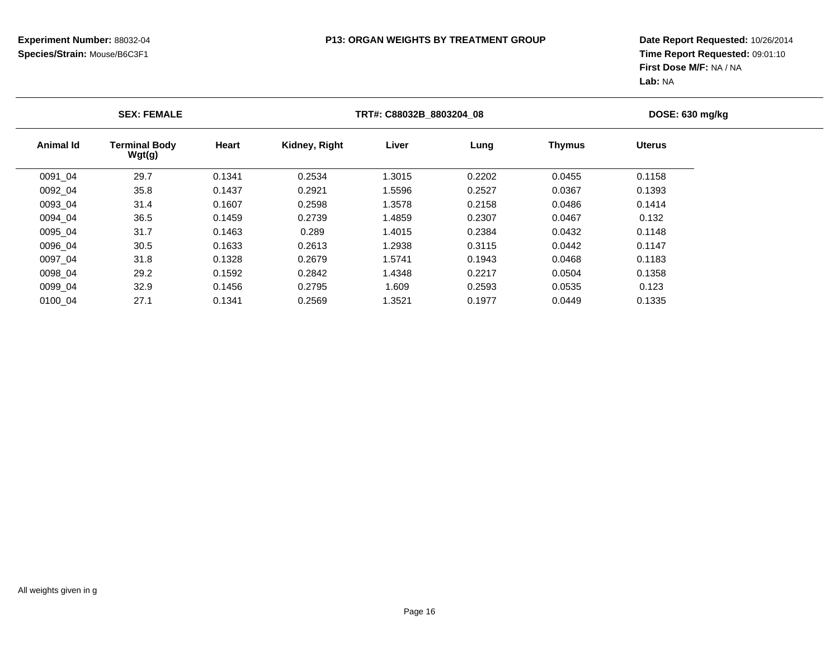|           | <b>SEX: FEMALE</b>             |        | TRT#: C88032B_8803204_08 | DOSE: 630 mg/kg |        |               |               |  |
|-----------|--------------------------------|--------|--------------------------|-----------------|--------|---------------|---------------|--|
| Animal Id | <b>Terminal Body</b><br>Wgt(g) | Heart  | Kidney, Right            | Liver           | Lung   | <b>Thymus</b> | <b>Uterus</b> |  |
| 0091 04   | 29.7                           | 0.1341 | 0.2534                   | 1.3015          | 0.2202 | 0.0455        | 0.1158        |  |
| 0092 04   | 35.8                           | 0.1437 | 0.2921                   | 1.5596          | 0.2527 | 0.0367        | 0.1393        |  |
| 0093 04   | 31.4                           | 0.1607 | 0.2598                   | 1.3578          | 0.2158 | 0.0486        | 0.1414        |  |
| 0094 04   | 36.5                           | 0.1459 | 0.2739                   | 1.4859          | 0.2307 | 0.0467        | 0.132         |  |
| 0095 04   | 31.7                           | 0.1463 | 0.289                    | 1.4015          | 0.2384 | 0.0432        | 0.1148        |  |
| 0096 04   | 30.5                           | 0.1633 | 0.2613                   | 1.2938          | 0.3115 | 0.0442        | 0.1147        |  |
| 0097 04   | 31.8                           | 0.1328 | 0.2679                   | 1.5741          | 0.1943 | 0.0468        | 0.1183        |  |
| 0098 04   | 29.2                           | 0.1592 | 0.2842                   | 1.4348          | 0.2217 | 0.0504        | 0.1358        |  |
| 0099 04   | 32.9                           | 0.1456 | 0.2795                   | 1.609           | 0.2593 | 0.0535        | 0.123         |  |
| 0100 04   | 27.1                           | 0.1341 | 0.2569                   | 1.3521          | 0.1977 | 0.0449        | 0.1335        |  |
|           |                                |        |                          |                 |        |               |               |  |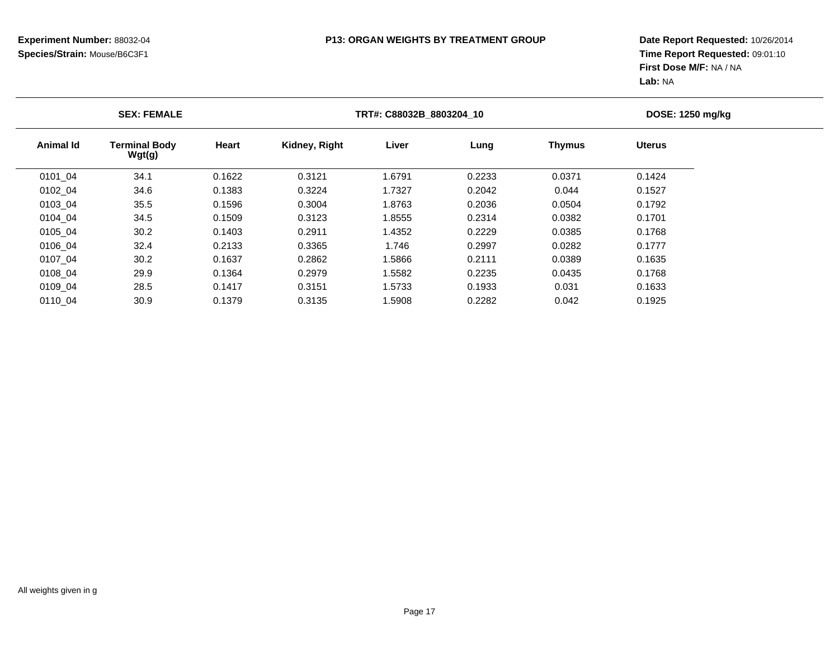|           | <b>SEX: FEMALE</b>             |        |               | TRT#: C88032B 8803204 10 |        |               |               |  |
|-----------|--------------------------------|--------|---------------|--------------------------|--------|---------------|---------------|--|
| Animal Id | <b>Terminal Body</b><br>Wgt(g) | Heart  | Kidney, Right | Liver                    | Lung   | <b>Thymus</b> | <b>Uterus</b> |  |
| 0101 04   | 34.1                           | 0.1622 | 0.3121        | 1.6791                   | 0.2233 | 0.0371        | 0.1424        |  |
| 0102 04   | 34.6                           | 0.1383 | 0.3224        | 1.7327                   | 0.2042 | 0.044         | 0.1527        |  |
| 0103 04   | 35.5                           | 0.1596 | 0.3004        | 1.8763                   | 0.2036 | 0.0504        | 0.1792        |  |
| 0104 04   | 34.5                           | 0.1509 | 0.3123        | 1.8555                   | 0.2314 | 0.0382        | 0.1701        |  |
| 0105 04   | 30.2                           | 0.1403 | 0.2911        | 1.4352                   | 0.2229 | 0.0385        | 0.1768        |  |
| 0106 04   | 32.4                           | 0.2133 | 0.3365        | 1.746                    | 0.2997 | 0.0282        | 0.1777        |  |
| 0107 04   | 30.2                           | 0.1637 | 0.2862        | 1.5866                   | 0.2111 | 0.0389        | 0.1635        |  |
| 0108 04   | 29.9                           | 0.1364 | 0.2979        | 1.5582                   | 0.2235 | 0.0435        | 0.1768        |  |
| 0109 04   | 28.5                           | 0.1417 | 0.3151        | 1.5733                   | 0.1933 | 0.031         | 0.1633        |  |
| 0110 04   | 30.9                           | 0.1379 | 0.3135        | 1.5908                   | 0.2282 | 0.042         | 0.1925        |  |
|           |                                |        |               |                          |        |               |               |  |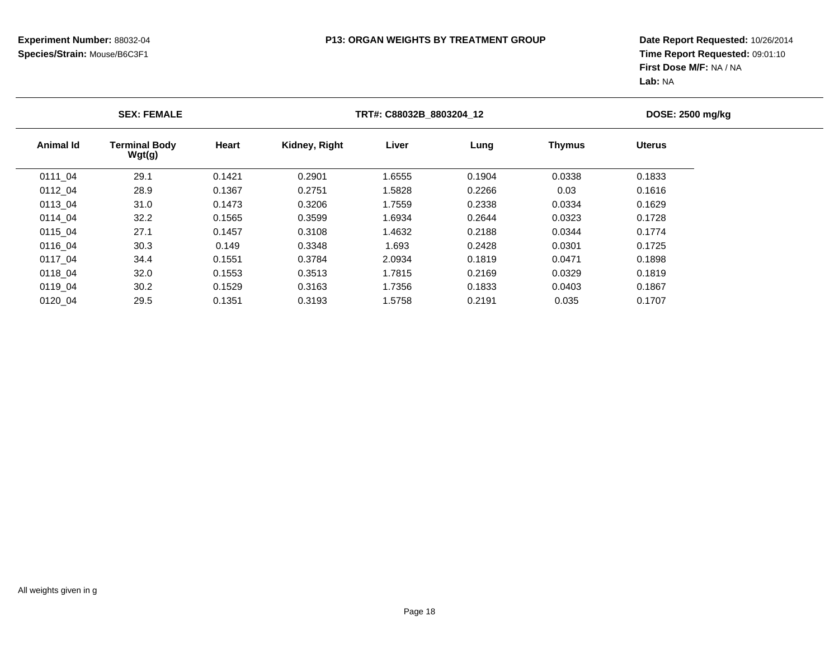|           | <b>SEX: FEMALE</b>             |        |               | TRT#: C88032B 8803204 12 |        |               |               |  |
|-----------|--------------------------------|--------|---------------|--------------------------|--------|---------------|---------------|--|
| Animal Id | <b>Terminal Body</b><br>Wgt(g) | Heart  | Kidney, Right | Liver                    | Lung   | <b>Thymus</b> | <b>Uterus</b> |  |
| 0111 04   | 29.1                           | 0.1421 | 0.2901        | 1.6555                   | 0.1904 | 0.0338        | 0.1833        |  |
| 0112 04   | 28.9                           | 0.1367 | 0.2751        | 1.5828                   | 0.2266 | 0.03          | 0.1616        |  |
| 0113 04   | 31.0                           | 0.1473 | 0.3206        | 1.7559                   | 0.2338 | 0.0334        | 0.1629        |  |
| 0114 04   | 32.2                           | 0.1565 | 0.3599        | 1.6934                   | 0.2644 | 0.0323        | 0.1728        |  |
| 0115 04   | 27.1                           | 0.1457 | 0.3108        | 1.4632                   | 0.2188 | 0.0344        | 0.1774        |  |
| 0116 04   | 30.3                           | 0.149  | 0.3348        | 1.693                    | 0.2428 | 0.0301        | 0.1725        |  |
| 0117 04   | 34.4                           | 0.1551 | 0.3784        | 2.0934                   | 0.1819 | 0.0471        | 0.1898        |  |
| 0118 04   | 32.0                           | 0.1553 | 0.3513        | 1.7815                   | 0.2169 | 0.0329        | 0.1819        |  |
| 0119 04   | 30.2                           | 0.1529 | 0.3163        | 1.7356                   | 0.1833 | 0.0403        | 0.1867        |  |
| 0120_04   | 29.5                           | 0.1351 | 0.3193        | 1.5758                   | 0.2191 | 0.035         | 0.1707        |  |
|           |                                |        |               |                          |        |               |               |  |